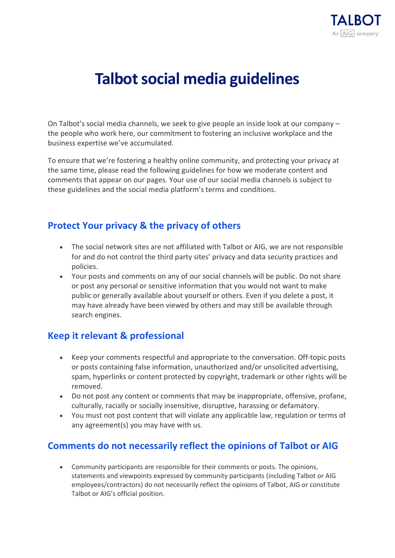

# **Talbot social media guidelines**

On Talbot's social media channels, we seek to give people an inside look at our company – the people who work here, our commitment to fostering an inclusive workplace and the business expertise we've accumulated.

To ensure that we're fostering a healthy online community, and protecting your privacy at the same time, please read the following guidelines for how we moderate content and comments that appear on our pages. Your use of our social media channels is subject to these guidelines and the social media platform's terms and conditions.

### **Protect Your privacy & the privacy of others**

- The social network sites are not affiliated with Talbot or AIG, we are not responsible for and do not control the third party sites' privacy and data security practices and policies.
- Your posts and comments on any of our social channels will be public. Do not share or post any personal or sensitive information that you would not want to make public or generally available about yourself or others. Even if you delete a post, it may have already have been viewed by others and may still be available through search engines.

### **Keep it relevant & professional**

- Keep your comments respectful and appropriate to the conversation. Off-topic posts or posts containing false information, unauthorized and/or unsolicited advertising, spam, hyperlinks or content protected by copyright, trademark or other rights will be removed.
- Do not post any content or comments that may be inappropriate, offensive, profane, culturally, racially or socially insensitive, disruptive, harassing or defamatory.
- You must not post content that will violate any applicable law, regulation or terms of any agreement(s) you may have with us.

## **Comments do not necessarily reflect the opinions of Talbot or AIG**

• Community participants are responsible for their comments or posts. The opinions, statements and viewpoints expressed by community participants (including Talbot or AIG employees/contractors) do not necessarily reflect the opinions of Talbot, AIG or constitute Talbot or AIG's official position.